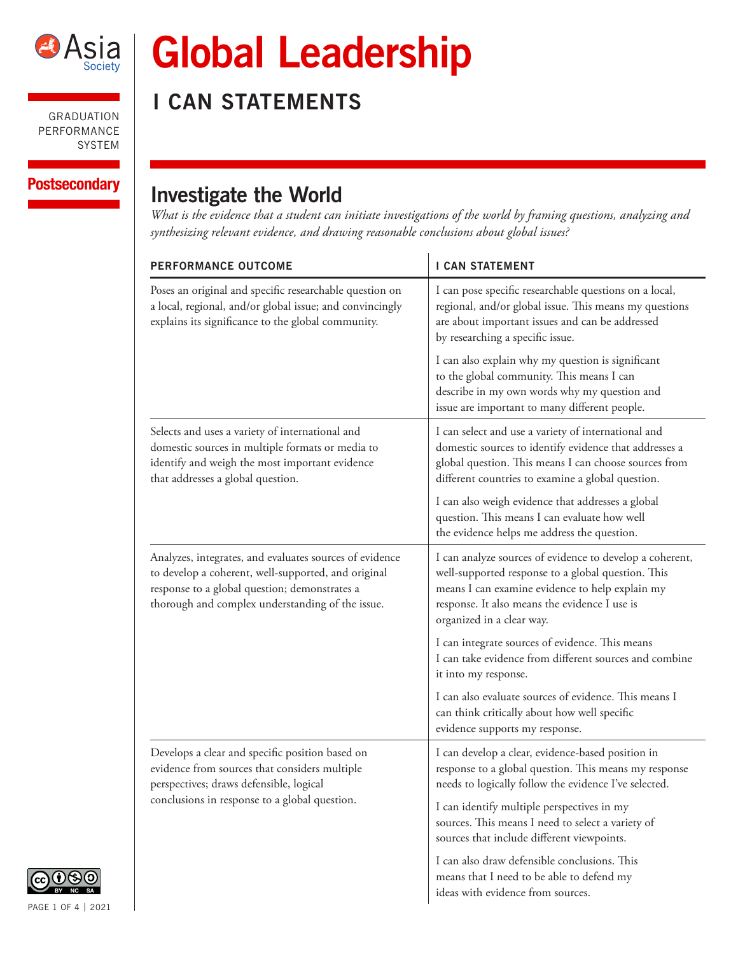

# **Global Leadership**

**I CAN STATEMENTS**

## Postsecondary | Investigate the World

*What is the evidence that a student can initiate investigations of the world by framing questions, analyzing and synthesizing relevant evidence, and drawing reasonable conclusions about global issues?* 

| <b>PERFORMANCE OUTCOME</b>                                                                                                                                                                                          | <b>I CAN STATEMENT</b>                                                                                                                                                                                                                          |
|---------------------------------------------------------------------------------------------------------------------------------------------------------------------------------------------------------------------|-------------------------------------------------------------------------------------------------------------------------------------------------------------------------------------------------------------------------------------------------|
| Poses an original and specific researchable question on<br>a local, regional, and/or global issue; and convincingly<br>explains its significance to the global community.                                           | I can pose specific researchable questions on a local,<br>regional, and/or global issue. This means my questions<br>are about important issues and can be addressed<br>by researching a specific issue.                                         |
|                                                                                                                                                                                                                     | I can also explain why my question is significant<br>to the global community. This means I can<br>describe in my own words why my question and<br>issue are important to many different people.                                                 |
| Selects and uses a variety of international and<br>domestic sources in multiple formats or media to<br>identify and weigh the most important evidence<br>that addresses a global question.                          | I can select and use a variety of international and<br>domestic sources to identify evidence that addresses a<br>global question. This means I can choose sources from<br>different countries to examine a global question.                     |
|                                                                                                                                                                                                                     | I can also weigh evidence that addresses a global<br>question. This means I can evaluate how well<br>the evidence helps me address the question.                                                                                                |
| Analyzes, integrates, and evaluates sources of evidence<br>to develop a coherent, well-supported, and original<br>response to a global question; demonstrates a<br>thorough and complex understanding of the issue. | I can analyze sources of evidence to develop a coherent,<br>well-supported response to a global question. This<br>means I can examine evidence to help explain my<br>response. It also means the evidence I use is<br>organized in a clear way. |
|                                                                                                                                                                                                                     | I can integrate sources of evidence. This means<br>I can take evidence from different sources and combine<br>it into my response.                                                                                                               |
|                                                                                                                                                                                                                     | I can also evaluate sources of evidence. This means I<br>can think critically about how well specific<br>evidence supports my response.                                                                                                         |
| Develops a clear and specific position based on<br>evidence from sources that considers multiple<br>perspectives; draws defensible, logical<br>conclusions in response to a global question.                        | I can develop a clear, evidence-based position in<br>response to a global question. This means my response<br>needs to logically follow the evidence I've selected.                                                                             |
|                                                                                                                                                                                                                     | I can identify multiple perspectives in my<br>sources. This means I need to select a variety of<br>sources that include different viewpoints.                                                                                                   |
|                                                                                                                                                                                                                     | I can also draw defensible conclusions. This<br>means that I need to be able to defend my<br>ideas with evidence from sources.                                                                                                                  |

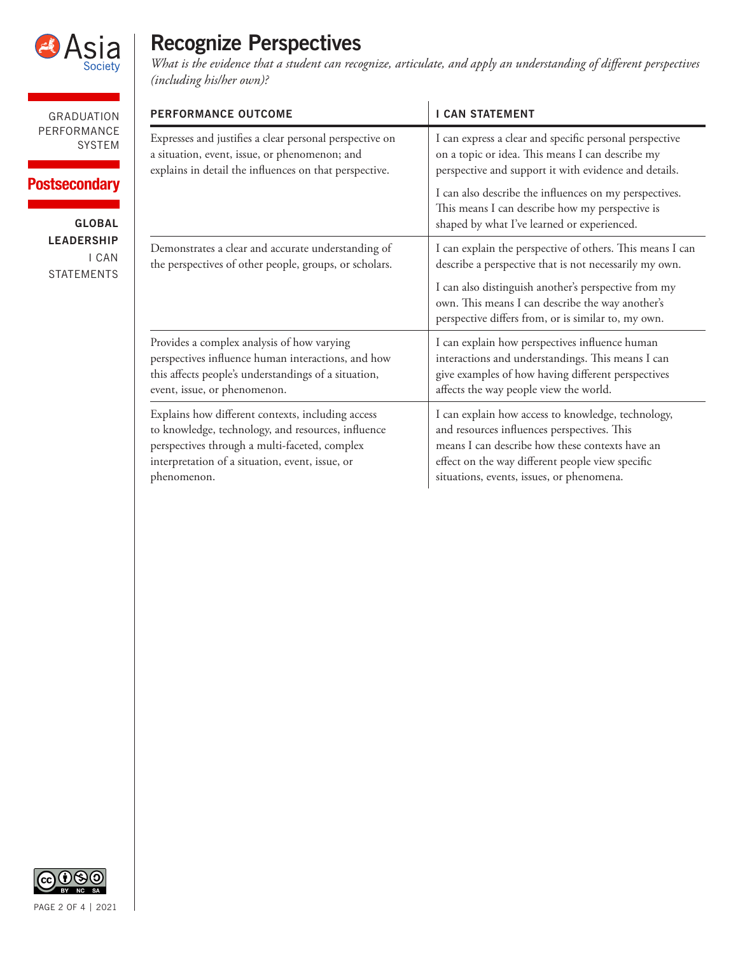

### **Postsecondary**

**GLOBAL LEADERSHIP** I CAN STATEMENTS

## **Recognize Perspectives**

*What is the evidence that a student can recognize, articulate, and apply an understanding of different perspectives (including his/her own)?* 

| <b>PERFORMANCE OUTCOME</b>                              | <b>I CAN STATEMENT</b>                                                                                                                                          |
|---------------------------------------------------------|-----------------------------------------------------------------------------------------------------------------------------------------------------------------|
| Expresses and justifies a clear personal perspective on | I can express a clear and specific personal perspective                                                                                                         |
| a situation, event, issue, or phenomenon; and           | on a topic or idea. This means I can describe my                                                                                                                |
| explains in detail the influences on that perspective.  | perspective and support it with evidence and details.                                                                                                           |
|                                                         | I can also describe the influences on my perspectives.<br>This means I can describe how my perspective is<br>shaped by what I've learned or experienced.        |
| Demonstrates a clear and accurate understanding of      | I can explain the perspective of others. This means I can                                                                                                       |
| the perspectives of other people, groups, or scholars.  | describe a perspective that is not necessarily my own.                                                                                                          |
|                                                         | I can also distinguish another's perspective from my<br>own. This means I can describe the way another's<br>perspective differs from, or is similar to, my own. |
| Provides a complex analysis of how varying              | I can explain how perspectives influence human                                                                                                                  |
| perspectives influence human interactions, and how      | interactions and understandings. This means I can                                                                                                               |
| this affects people's understandings of a situation,    | give examples of how having different perspectives                                                                                                              |
| event, issue, or phenomenon.                            | affects the way people view the world.                                                                                                                          |
| Explains how different contexts, including access       | I can explain how access to knowledge, technology,                                                                                                              |
| to knowledge, technology, and resources, influence      | and resources influences perspectives. This                                                                                                                     |
| perspectives through a multi-faceted, complex           | means I can describe how these contexts have an                                                                                                                 |
| interpretation of a situation, event, issue, or         | effect on the way different people view specific                                                                                                                |
| phenomenon.                                             | situations, events, issues, or phenomena.                                                                                                                       |

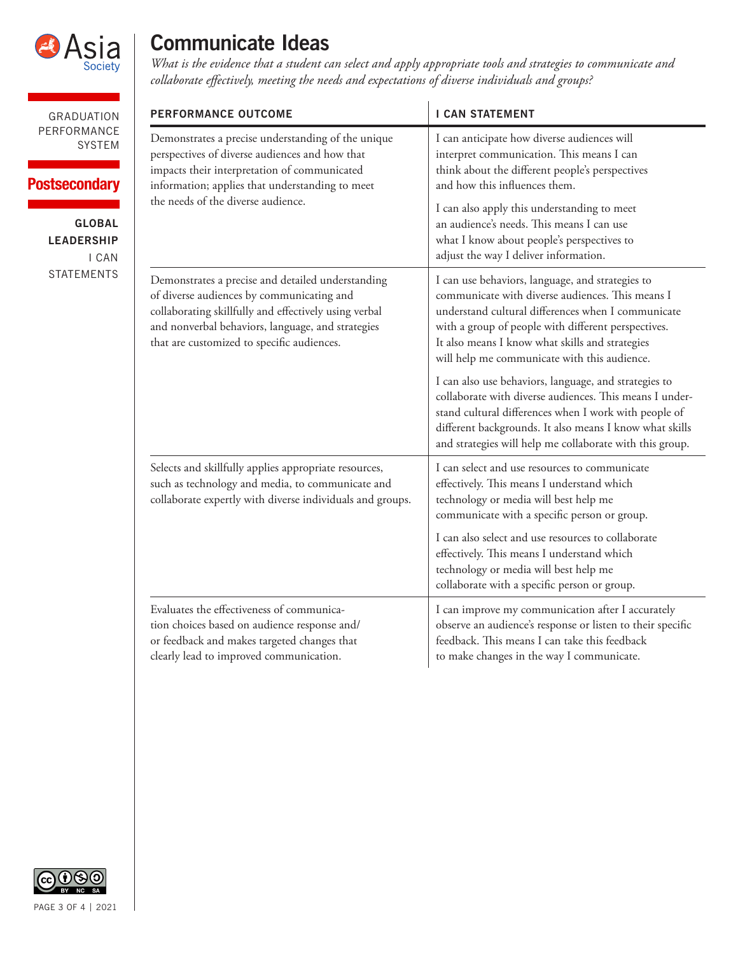

#### **Postsecondary**

**GLOBAL LEADERSHIP** I CAN STATEMENTS

## **Communicate Ideas**

*What is the evidence that a student can select and apply appropriate tools and strategies to communicate and collaborate effectively, meeting the needs and expectations of diverse individuals and groups?*

| <b>PERFORMANCE OUTCOME</b>                                                                                                                                                                                                                                 | <b>I CAN STATEMENT</b>                                                                                                                                                                                                                                                                                                                                                                                                                                                                                                                                                                                                   |
|------------------------------------------------------------------------------------------------------------------------------------------------------------------------------------------------------------------------------------------------------------|--------------------------------------------------------------------------------------------------------------------------------------------------------------------------------------------------------------------------------------------------------------------------------------------------------------------------------------------------------------------------------------------------------------------------------------------------------------------------------------------------------------------------------------------------------------------------------------------------------------------------|
| Demonstrates a precise understanding of the unique<br>perspectives of diverse audiences and how that<br>impacts their interpretation of communicated<br>information; applies that understanding to meet<br>the needs of the diverse audience.              | I can anticipate how diverse audiences will<br>interpret communication. This means I can<br>think about the different people's perspectives<br>and how this influences them.<br>I can also apply this understanding to meet<br>an audience's needs. This means I can use<br>what I know about people's perspectives to<br>adjust the way I deliver information.                                                                                                                                                                                                                                                          |
| Demonstrates a precise and detailed understanding<br>of diverse audiences by communicating and<br>collaborating skillfully and effectively using verbal<br>and nonverbal behaviors, language, and strategies<br>that are customized to specific audiences. | I can use behaviors, language, and strategies to<br>communicate with diverse audiences. This means I<br>understand cultural differences when I communicate<br>with a group of people with different perspectives.<br>It also means I know what skills and strategies<br>will help me communicate with this audience.<br>I can also use behaviors, language, and strategies to<br>collaborate with diverse audiences. This means I under-<br>stand cultural differences when I work with people of<br>different backgrounds. It also means I know what skills<br>and strategies will help me collaborate with this group. |
| Selects and skillfully applies appropriate resources,<br>such as technology and media, to communicate and<br>collaborate expertly with diverse individuals and groups.                                                                                     | I can select and use resources to communicate<br>effectively. This means I understand which<br>technology or media will best help me<br>communicate with a specific person or group.<br>I can also select and use resources to collaborate<br>effectively. This means I understand which<br>technology or media will best help me<br>collaborate with a specific person or group.                                                                                                                                                                                                                                        |
| Evaluates the effectiveness of communica-<br>tion choices based on audience response and/<br>or feedback and makes targeted changes that<br>clearly lead to improved communication.                                                                        | I can improve my communication after I accurately<br>observe an audience's response or listen to their specific<br>feedback. This means I can take this feedback<br>to make changes in the way I communicate.                                                                                                                                                                                                                                                                                                                                                                                                            |